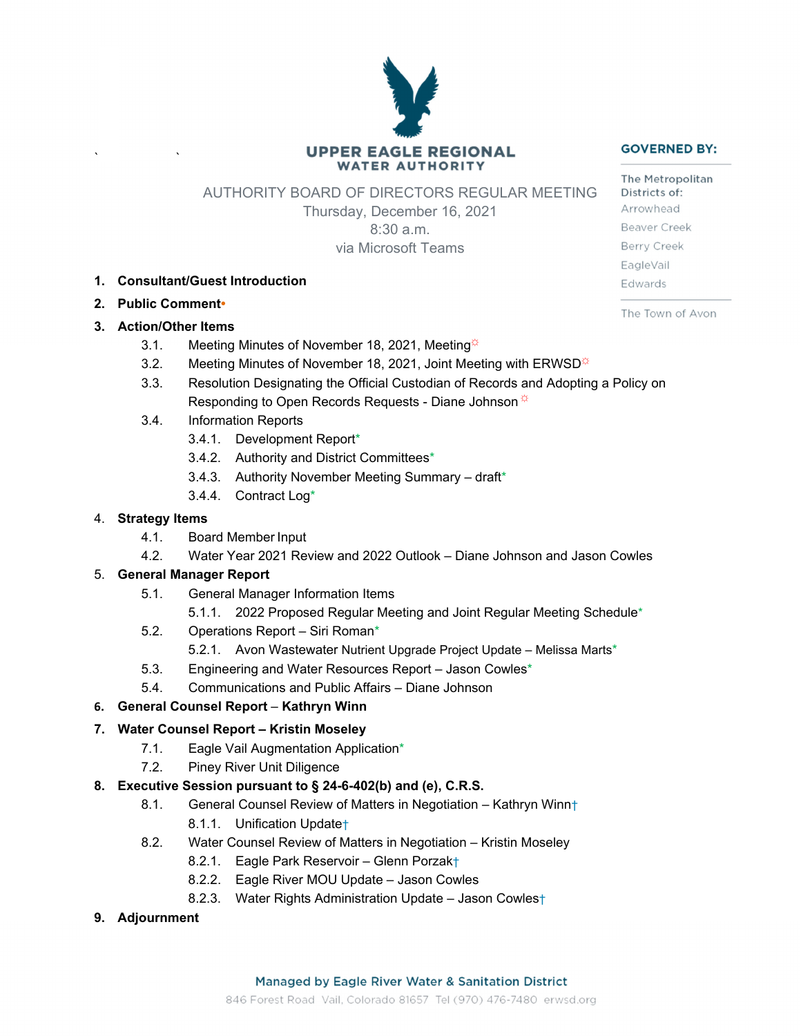# AUTHORITY BOARD OF DIRECTORS REGULAR MEETING Thursday, December 16, 2021

**UPPER EAGLE REGIONAL** 

**WATER AUTHORITY** 

8:30 a.m.

via Microsoft Teams

- **1. Consultant/Guest Introduction**
- **2. Public Comment•**

 $\mathcal{L} = \mathcal{L} \times \mathcal{L}$ 

## **3. Action/Other Items**

- 3.1. Meeting Minutes of November 18, 2021, Meeting $\ddot{\varphi}$
- 3.2. Meeting Minutes of November 18, 2021, Joint Meeting with ERWSD<sup> $\ddot{\phi}$ </sup>
- 3.3. Resolution Designating the Official Custodian of Records and Adopting a Policy on Responding to Open Records Requests - Diane Johnson  $*$
- 3.4. Information Reports
	- 3.4.1. Development Report\*
	- 3.4.2. Authority and District Committees\*
	- 3.4.3. Authority November Meeting Summary draft\*
	- 3.4.4. Contract Log\*

## 4. **Strategy Items**

- 4.1. Board Member Input
- 4.2. Water Year 2021 Review and 2022 Outlook Diane Johnson and Jason Cowles

## 5. **General Manager Report**

- 5.1. General Manager Information Items
	- 5.1.1. 2022 Proposed Regular Meeting and Joint Regular Meeting Schedule\*
- 5.2. Operations Report Siri Roman\*
	- 5.2.1. Avon Wastewater Nutrient Upgrade Project Update Melissa Marts\*
- 5.3. Engineering and Water Resources Report Jason Cowles\*
- 5.4. Communications and Public Affairs Diane Johnson

## **6. General Counsel Report** *–* **Kathryn Winn**

## **7. Water Counsel Report – Kristin Moseley**

- 7.1. Eagle Vail Augmentation Application\*
- 7.2. Piney River Unit Diligence

#### **8. Executive Session pursuant to § 24-6-402(b) and (e), C.R.S.**

- 8.1. General Counsel Review of Matters in Negotiation Kathryn Winn+
	- 8.1.1. Unification Update†
- 8.2. Water Counsel Review of Matters in Negotiation Kristin Moseley
	- 8.2.1. Eagle Park Reservoir Glenn Porzak†
	- 8.2.2. Eagle River MOU Update Jason Cowles
	- 8.2.3. Water Rights Administration Update Jason Cowles†
- **9. Adjournment**

The Metropolitan Districts of: Arrowhead **Beaver Creek Berry Creek** EagleVail Edwards

The Town of Avon